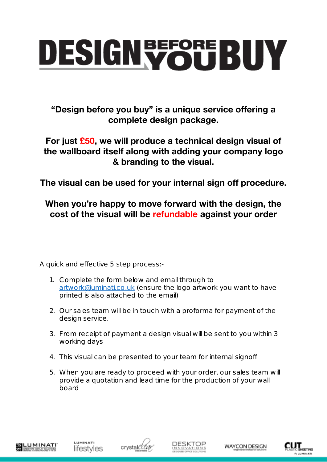## **DESIGN WOUBUY**

"Design before you buy" is a unique service offering a complete design package.

For just £50, we will produce a technical design visual of the wallboard itself along with adding your company logo & branding to the visual.

The visual can be used for your internal sign off procedure.

## When you're happy to move forward with the design, the cost of the visual will be refundable against your order

A quick and effective 5 step process:-

- 1. Complete the form below and email through to [artwork@luminati.co.uk](mailto:artwork@luminati.co.uk) (ensure the logo artwork you want to have printed is also attached to the email)
- 2. Our sales team will be in touch with a proforma for payment of the design service.
- 3. From receipt of payment a design visual will be sent to you within 3 working days
- 4. This visual can be presented to your team for internal signoff
- 5. When you are ready to proceed with your order, our sales team will provide a quotation and lead time for the production of your wall board